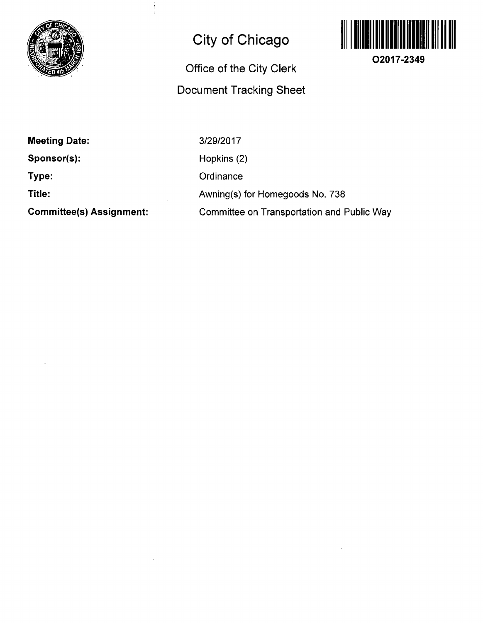

## **City of Chicago**

İ

## **Office of the City Clerk Document Tracking Sheet**



**O2017-2349** 

**Meeting Date:** 

**Sponsor(s):** 

**Type:** 

**Title:** 

**Committee(s) Assignment:** 

3/29/2017 Hopkins (2) **Ordinance** Awning(s) for Homegoods No. 738 Committee on Transportation and Public Way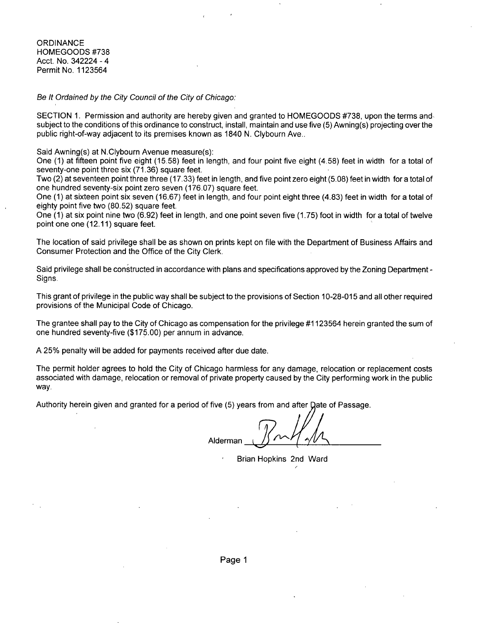**ORDINANCE** HOMEGOODS #738 Acct. No. 342224 - 4 Permit No. 1123564

Be It Ordained by the City Council of the City of Chicago:

SECTION 1. Permission and authority are hereby given and granted to HOMEGOODS #738, upon the terms and subiect to the conditions of this ordinance to construct, install, maintain and use five (5) Awning(s) projecting over the public right-of-way adjacent to its premises known as 1840 N. Clybourn Ave..

Said Awning(s) at N.Clybourn Avenue measure(s):

One (1) at fifteen point five eight (15.58) feet in length, and four point five eight (4.58) feet in width for a total of seventy-one point three six (71.36) square feet.

Two (2) at seventeen point three three (17.33) feet in length, and five point zero eight (5.08) feet in width for a total of one hundred seventy-six point zero seven (176.07) square feet.

One (1) at sixteen point six seven (16.67) feet in length, and four point eight three (4.83) feet in width for a total of eighty point five two (80.52) square feet.

One (1) at six point nine two (6.92) feet in length, and one point seven five (1.75) foot in width for a total of twelve point one one (12.11) square feet.

The location of said privilege shall be as shown on prints kept on file with the Department of Business Affairs and Consumer Protection and the Office of the City Clerk.

Said privilege shall be constructed in accordance with plans and specifications approved by the Zoning Department -Signs.

This grant of privilege in the public way shall be subject to the provisions of Section 10-28-015 and all other required provisions of the Municipal Code of Chicago.

The grantee shall pay to the City of Chicago as compensation for the privilege #1123564 herein granted the sum of one hundred seventy-five (\$175.00) per annum in advance.

A 25% penalty will be added for payments received after due date.

The permit holder agrees to hold the City of Chicago harmless for any damage, relocation or replacement costs associated with damage, relocation or removal of private property caused by the City performing work in the public way.

Authority herein given and granted for a period of five (5) years from and after Date of Passage

**Alderman** 

Brian Hopkins 2nd Ward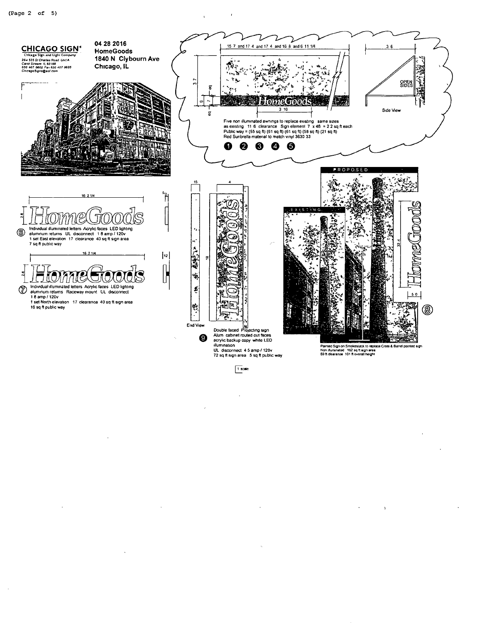$\ddot{\phantom{a}}$ 

 $\ddot{\phantom{a}}$ 



 $\sqrt{1}$  scale

 $\ddot{\phantom{0}}$ 

 $\Delta$